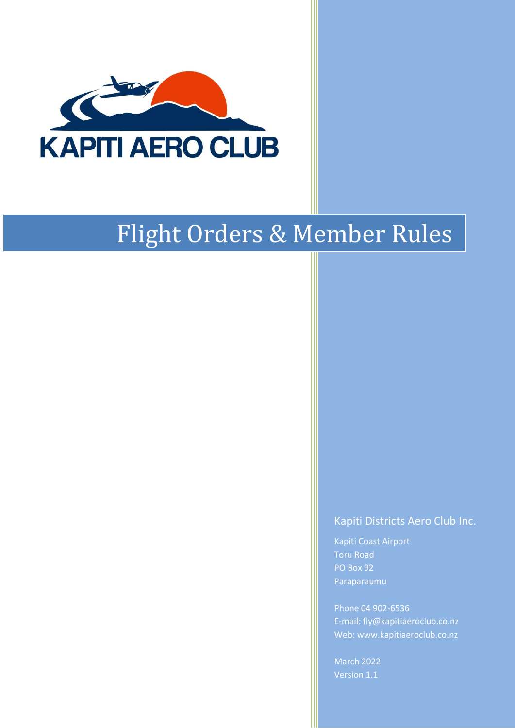

# Flight Orders & Member Rules

# Kapiti Districts Aero Club Inc.

Kapiti Coast Airport Toru Road PO Box 92 Paraparaumu

Phone 04 902-6536 E-mail: fly@kapitiaeroclub.co.nz Web: www.kapitiaeroclub.co.nz

March 2022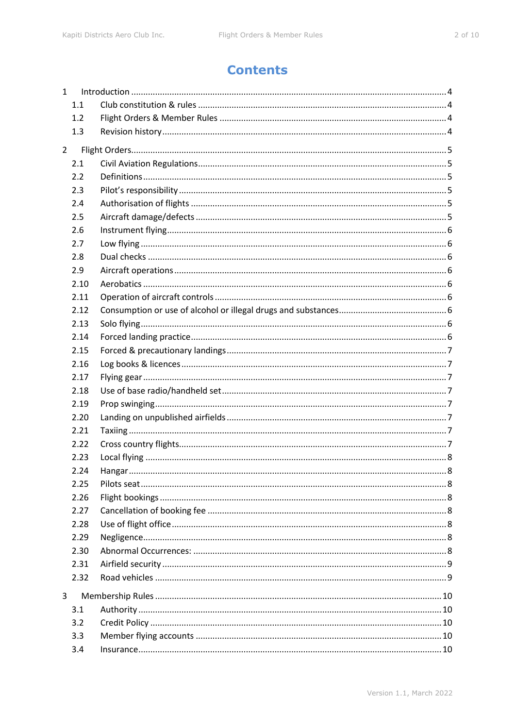# **Contents**

| $\mathbf{1}$   |      |  |
|----------------|------|--|
|                | 1.1  |  |
|                | 1.2  |  |
|                | 1.3  |  |
| $\overline{2}$ |      |  |
|                | 2.1  |  |
|                | 2.2  |  |
|                | 2.3  |  |
|                | 2.4  |  |
|                | 2.5  |  |
|                | 2.6  |  |
|                | 2.7  |  |
|                | 2.8  |  |
|                | 2.9  |  |
|                | 2.10 |  |
|                | 2.11 |  |
|                | 2.12 |  |
|                | 2.13 |  |
|                | 2.14 |  |
|                | 2.15 |  |
|                | 2.16 |  |
|                | 2.17 |  |
|                | 2.18 |  |
|                | 2.19 |  |
|                | 2.20 |  |
|                | 2.21 |  |
|                | 2.22 |  |
|                | 2.23 |  |
|                | 2.24 |  |
|                | 2.25 |  |
|                | 2.26 |  |
|                | 2.27 |  |
|                | 2.28 |  |
|                | 2.29 |  |
|                | 2.30 |  |
|                | 2.31 |  |
|                | 2.32 |  |
| 3              |      |  |
|                | 3.1  |  |
|                | 3.2  |  |
|                | 3.3  |  |
|                | 3.4  |  |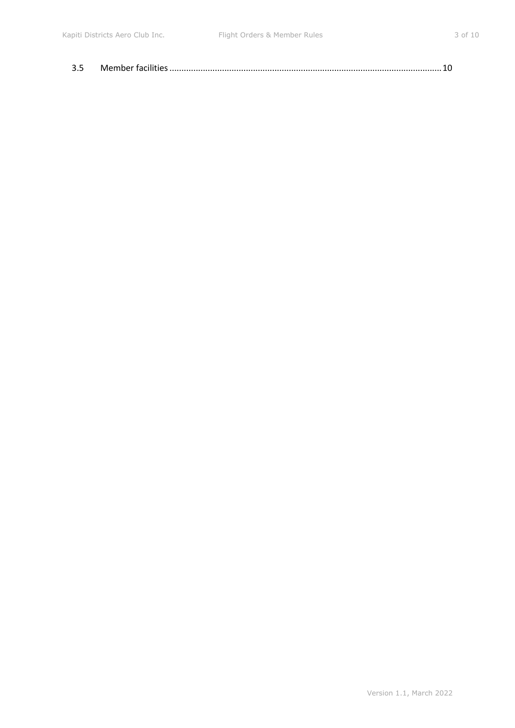| 3.5 |  |
|-----|--|
|     |  |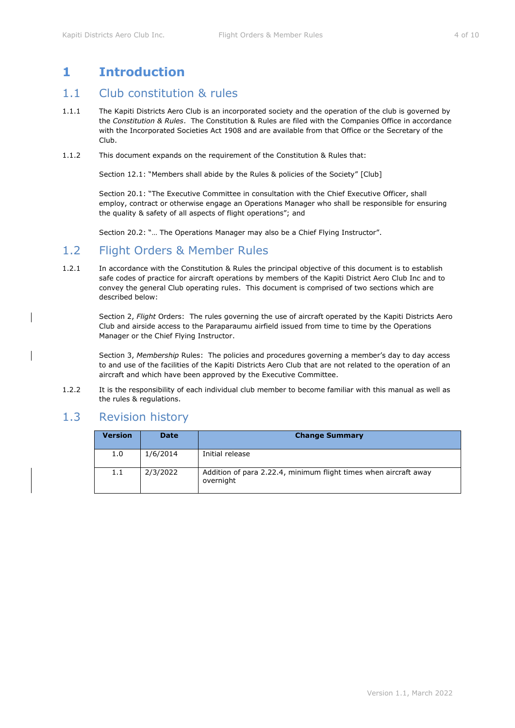# <span id="page-3-0"></span>**1 Introduction**

# <span id="page-3-1"></span>1.1 Club constitution & rules

- 1.1.1 The Kapiti Districts Aero Club is an incorporated society and the operation of the club is governed by the *Constitution & Rules*. The Constitution & Rules are filed with the Companies Office in accordance with the Incorporated Societies Act 1908 and are available from that Office or the Secretary of the Club.
- 1.1.2 This document expands on the requirement of the Constitution & Rules that:

Section 12.1: "Members shall abide by the Rules & policies of the Society" [Club]

Section 20.1: "The Executive Committee in consultation with the Chief Executive Officer, shall employ, contract or otherwise engage an Operations Manager who shall be responsible for ensuring the quality & safety of all aspects of flight operations"; and

Section 20.2: "… The Operations Manager may also be a Chief Flying Instructor".

## <span id="page-3-2"></span>1.2 Flight Orders & Member Rules

1.2.1 In accordance with the Constitution & Rules the principal objective of this document is to establish safe codes of practice for aircraft operations by members of the Kapiti District Aero Club Inc and to convey the general Club operating rules. This document is comprised of two sections which are described below:

Section [2,](#page-4-0) *Flight* [Orders:](#page-4-0) The rules governing the use of aircraft operated by the Kapiti Districts Aero Club and airside access to the Paraparaumu airfield issued from time to time by the Operations Manager or the Chief Flying Instructor.

Section 3, *[Membership](#page-9-0)* Rules: The policies and procedures governing a member's day to day access to and use of the facilities of the Kapiti Districts Aero Club that are not related to the operation of an aircraft and which have been approved by the Executive Committee.

1.2.2 It is the responsibility of each individual club member to become familiar with this manual as well as the rules & regulations.

# <span id="page-3-3"></span>1.3 Revision history

| <b>Version</b> | <b>Date</b> | <b>Change Summary</b>                                                         |
|----------------|-------------|-------------------------------------------------------------------------------|
| 1.0            | 1/6/2014    | Initial release                                                               |
| 1.1            | 2/3/2022    | Addition of para 2.22.4, minimum flight times when aircraft away<br>overnight |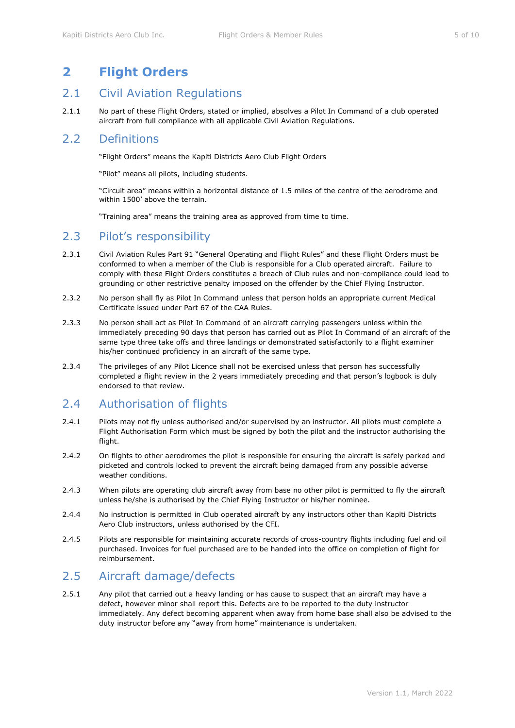# <span id="page-4-0"></span>**2 Flight Orders**

## <span id="page-4-1"></span>2.1 Civil Aviation Regulations

2.1.1 No part of these Flight Orders, stated or implied, absolves a Pilot In Command of a club operated aircraft from full compliance with all applicable Civil Aviation Regulations.

### <span id="page-4-2"></span>2.2 Definitions

"Flight Orders" means the Kapiti Districts Aero Club Flight Orders

"Pilot" means all pilots, including students.

"Circuit area" means within a horizontal distance of 1.5 miles of the centre of the aerodrome and within 1500' above the terrain.

"Training area" means the training area as approved from time to time.

# <span id="page-4-3"></span>2.3 Pilot's responsibility

- 2.3.1 Civil Aviation Rules Part 91 "General Operating and Flight Rules" and these Flight Orders must be conformed to when a member of the Club is responsible for a Club operated aircraft. Failure to comply with these Flight Orders constitutes a breach of Club rules and non-compliance could lead to grounding or other restrictive penalty imposed on the offender by the Chief Flying Instructor.
- 2.3.2 No person shall fly as Pilot In Command unless that person holds an appropriate current Medical Certificate issued under Part 67 of the CAA Rules.
- 2.3.3 No person shall act as Pilot In Command of an aircraft carrying passengers unless within the immediately preceding 90 days that person has carried out as Pilot In Command of an aircraft of the same type three take offs and three landings or demonstrated satisfactorily to a flight examiner his/her continued proficiency in an aircraft of the same type.
- 2.3.4 The privileges of any Pilot Licence shall not be exercised unless that person has successfully completed a flight review in the 2 years immediately preceding and that person's logbook is duly endorsed to that review.

# <span id="page-4-4"></span>2.4 Authorisation of flights

- 2.4.1 Pilots may not fly unless authorised and/or supervised by an instructor. All pilots must complete a Flight Authorisation Form which must be signed by both the pilot and the instructor authorising the flight.
- 2.4.2 On flights to other aerodromes the pilot is responsible for ensuring the aircraft is safely parked and picketed and controls locked to prevent the aircraft being damaged from any possible adverse weather conditions.
- 2.4.3 When pilots are operating club aircraft away from base no other pilot is permitted to fly the aircraft unless he/she is authorised by the Chief Flying Instructor or his/her nominee.
- 2.4.4 No instruction is permitted in Club operated aircraft by any instructors other than Kapiti Districts Aero Club instructors, unless authorised by the CFI.
- 2.4.5 Pilots are responsible for maintaining accurate records of cross-country flights including fuel and oil purchased. Invoices for fuel purchased are to be handed into the office on completion of flight for reimbursement.

# <span id="page-4-5"></span>2.5 Aircraft damage/defects

2.5.1 Any pilot that carried out a heavy landing or has cause to suspect that an aircraft may have a defect, however minor shall report this. Defects are to be reported to the duty instructor immediately. Any defect becoming apparent when away from home base shall also be advised to the duty instructor before any "away from home" maintenance is undertaken.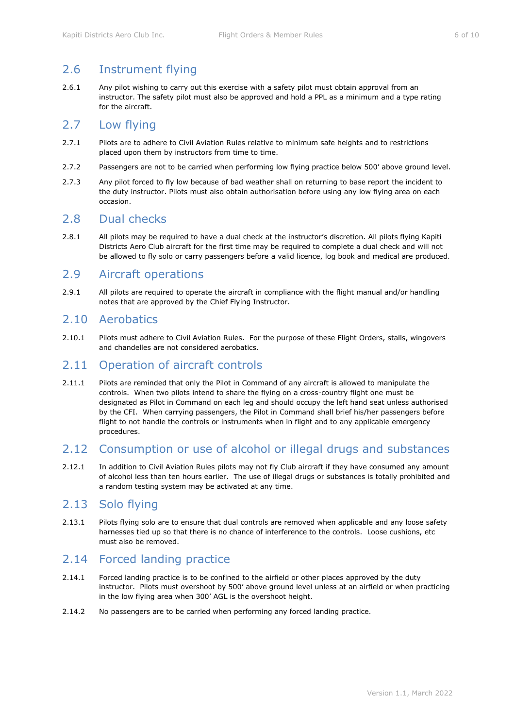# <span id="page-5-0"></span>2.6 Instrument flying

2.6.1 Any pilot wishing to carry out this exercise with a safety pilot must obtain approval from an instructor. The safety pilot must also be approved and hold a PPL as a minimum and a type rating for the aircraft.

#### <span id="page-5-1"></span>2.7 Low flying

- 2.7.1 Pilots are to adhere to Civil Aviation Rules relative to minimum safe heights and to restrictions placed upon them by instructors from time to time.
- 2.7.2 Passengers are not to be carried when performing low flying practice below 500' above ground level.
- 2.7.3 Any pilot forced to fly low because of bad weather shall on returning to base report the incident to the duty instructor. Pilots must also obtain authorisation before using any low flying area on each occasion.

#### <span id="page-5-2"></span>2.8 Dual checks

2.8.1 All pilots may be required to have a dual check at the instructor's discretion. All pilots flying Kapiti Districts Aero Club aircraft for the first time may be required to complete a dual check and will not be allowed to fly solo or carry passengers before a valid licence, log book and medical are produced.

#### <span id="page-5-3"></span>2.9 Aircraft operations

2.9.1 All pilots are required to operate the aircraft in compliance with the flight manual and/or handling notes that are approved by the Chief Flying Instructor.

#### <span id="page-5-4"></span>2.10 Aerobatics

2.10.1 Pilots must adhere to Civil Aviation Rules. For the purpose of these Flight Orders, stalls, wingovers and chandelles are not considered aerobatics.

#### <span id="page-5-5"></span>2.11 Operation of aircraft controls

2.11.1 Pilots are reminded that only the Pilot in Command of any aircraft is allowed to manipulate the controls. When two pilots intend to share the flying on a cross-country flight one must be designated as Pilot in Command on each leg and should occupy the left hand seat unless authorised by the CFI. When carrying passengers, the Pilot in Command shall brief his/her passengers before flight to not handle the controls or instruments when in flight and to any applicable emergency procedures.

#### <span id="page-5-6"></span>2.12 Consumption or use of alcohol or illegal drugs and substances

2.12.1 In addition to Civil Aviation Rules pilots may not fly Club aircraft if they have consumed any amount of alcohol less than ten hours earlier. The use of illegal drugs or substances is totally prohibited and a random testing system may be activated at any time.

# <span id="page-5-7"></span>2.13 Solo flying

2.13.1 Pilots flying solo are to ensure that dual controls are removed when applicable and any loose safety harnesses tied up so that there is no chance of interference to the controls. Loose cushions, etc must also be removed.

# <span id="page-5-8"></span>2.14 Forced landing practice

- 2.14.1 Forced landing practice is to be confined to the airfield or other places approved by the duty instructor. Pilots must overshoot by 500' above ground level unless at an airfield or when practicing in the low flying area when 300' AGL is the overshoot height.
- 2.14.2 No passengers are to be carried when performing any forced landing practice.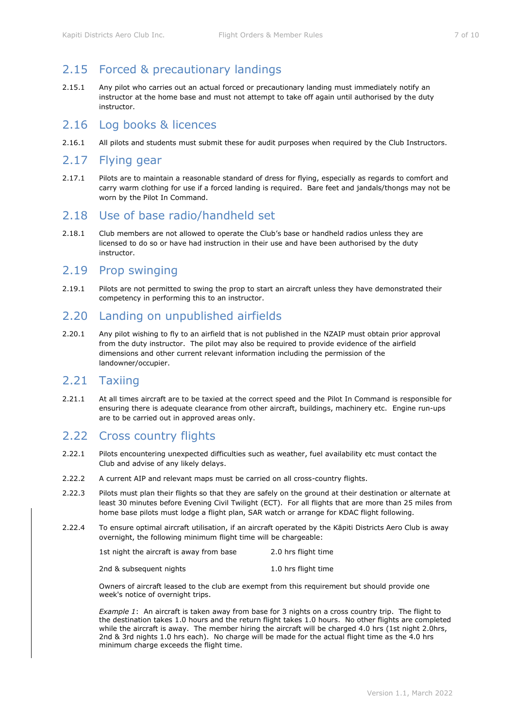# <span id="page-6-0"></span>2.15 Forced & precautionary landings

2.15.1 Any pilot who carries out an actual forced or precautionary landing must immediately notify an instructor at the home base and must not attempt to take off again until authorised by the duty instructor.

#### <span id="page-6-1"></span>2.16 Log books & licences

2.16.1 All pilots and students must submit these for audit purposes when required by the Club Instructors.

#### <span id="page-6-2"></span>2.17 Flying gear

2.17.1 Pilots are to maintain a reasonable standard of dress for flying, especially as regards to comfort and carry warm clothing for use if a forced landing is required. Bare feet and jandals/thongs may not be worn by the Pilot In Command.

#### <span id="page-6-3"></span>2.18 Use of base radio/handheld set

2.18.1 Club members are not allowed to operate the Club's base or handheld radios unless they are licensed to do so or have had instruction in their use and have been authorised by the duty instructor.

#### <span id="page-6-4"></span>2.19 Prop swinging

2.19.1 Pilots are not permitted to swing the prop to start an aircraft unless they have demonstrated their competency in performing this to an instructor.

## <span id="page-6-5"></span>2.20 Landing on unpublished airfields

2.20.1 Any pilot wishing to fly to an airfield that is not published in the NZAIP must obtain prior approval from the duty instructor. The pilot may also be required to provide evidence of the airfield dimensions and other current relevant information including the permission of the landowner/occupier.

#### <span id="page-6-6"></span>2.21 Taxiing

2.21.1 At all times aircraft are to be taxied at the correct speed and the Pilot In Command is responsible for ensuring there is adequate clearance from other aircraft, buildings, machinery etc. Engine run-ups are to be carried out in approved areas only.

# <span id="page-6-7"></span>2.22 Cross country flights

- 2.22.1 Pilots encountering unexpected difficulties such as weather, fuel availability etc must contact the Club and advise of any likely delays.
- 2.22.2 A current AIP and relevant maps must be carried on all cross-country flights.
- 2.22.3 Pilots must plan their flights so that they are safely on the ground at their destination or alternate at least 30 minutes before Evening Civil Twilight (ECT). For all flights that are more than 25 miles from home base pilots must lodge a flight plan, SAR watch or arrange for KDAC flight following.
- <span id="page-6-8"></span>2.22.4 To ensure optimal aircraft utilisation, if an aircraft operated by the Kāpiti Districts Aero Club is away overnight, the following minimum flight time will be chargeable:

| 1st night the aircraft is away from base | 2.0 hrs flight time |
|------------------------------------------|---------------------|
|                                          |                     |

Owners of aircraft leased to the club are exempt from this requirement but should provide one week's notice of overnight trips.

*Example 1*: An aircraft is taken away from base for 3 nights on a cross country trip. The flight to the destination takes 1.0 hours and the return flight takes 1.0 hours. No other flights are completed while the aircraft is away. The member hiring the aircraft will be charged 4.0 hrs (1st night 2.0hrs, 2nd & 3rd nights 1.0 hrs each). No charge will be made for the actual flight time as the 4.0 hrs minimum charge exceeds the flight time.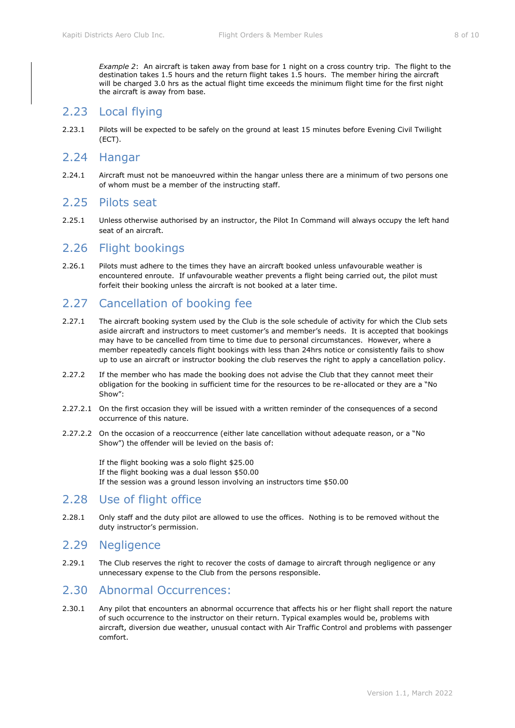*Example 2*: An aircraft is taken away from base for 1 night on a cross country trip. The flight to the destination takes 1.5 hours and the return flight takes 1.5 hours. The member hiring the aircraft will be charged 3.0 hrs as the actual flight time exceeds the minimum flight time for the first night the aircraft is away from base.

## <span id="page-7-0"></span>2.23 Local flying

2.23.1 Pilots will be expected to be safely on the ground at least 15 minutes before Evening Civil Twilight (ECT).

#### <span id="page-7-1"></span>2.24 Hangar

2.24.1 Aircraft must not be manoeuvred within the hangar unless there are a minimum of two persons one of whom must be a member of the instructing staff.

#### <span id="page-7-2"></span>2.25 Pilots seat

2.25.1 Unless otherwise authorised by an instructor, the Pilot In Command will always occupy the left hand seat of an aircraft.

#### <span id="page-7-3"></span>2.26 Flight bookings

2.26.1 Pilots must adhere to the times they have an aircraft booked unless unfavourable weather is encountered enroute. If unfavourable weather prevents a flight being carried out, the pilot must forfeit their booking unless the aircraft is not booked at a later time.

## <span id="page-7-4"></span>2.27 Cancellation of booking fee

- 2.27.1 The aircraft booking system used by the Club is the sole schedule of activity for which the Club sets aside aircraft and instructors to meet customer's and member's needs. It is accepted that bookings may have to be cancelled from time to time due to personal circumstances. However, where a member repeatedly cancels flight bookings with less than 24hrs notice or consistently fails to show up to use an aircraft or instructor booking the club reserves the right to apply a cancellation policy.
- 2.27.2 If the member who has made the booking does not advise the Club that they cannot meet their obligation for the booking in sufficient time for the resources to be re-allocated or they are a "No Show":
- 2.27.2.1 On the first occasion they will be issued with a written reminder of the consequences of a second occurrence of this nature.
- 2.27.2.2 On the occasion of a reoccurrence (either late cancellation without adequate reason, or a "No Show") the offender will be levied on the basis of:

If the flight booking was a solo flight \$25.00 If the flight booking was a dual lesson \$50.00 If the session was a ground lesson involving an instructors time \$50.00

#### <span id="page-7-5"></span>2.28 Use of flight office

2.28.1 Only staff and the duty pilot are allowed to use the offices. Nothing is to be removed without the duty instructor's permission.

#### <span id="page-7-6"></span>2.29 Negligence

2.29.1 The Club reserves the right to recover the costs of damage to aircraft through negligence or any unnecessary expense to the Club from the persons responsible.

# <span id="page-7-7"></span>2.30 Abnormal Occurrences:

2.30.1 Any pilot that encounters an abnormal occurrence that affects his or her flight shall report the nature of such occurrence to the instructor on their return. Typical examples would be, problems with aircraft, diversion due weather, unusual contact with Air Traffic Control and problems with passenger comfort.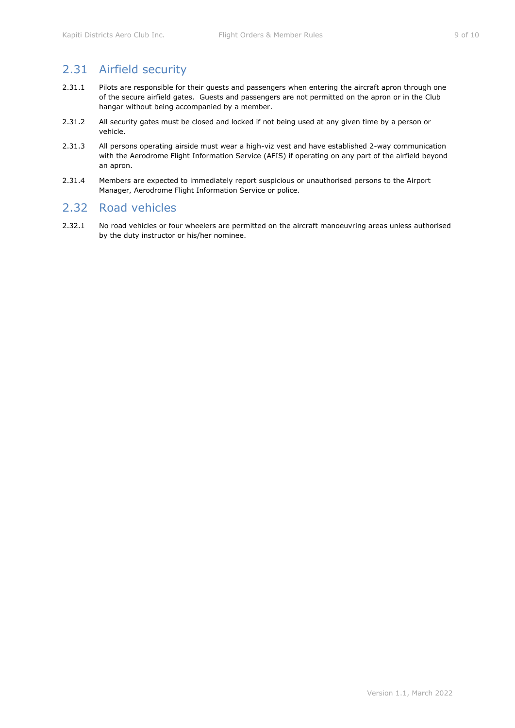# <span id="page-8-0"></span>2.31 Airfield security

- 2.31.1 Pilots are responsible for their guests and passengers when entering the aircraft apron through one of the secure airfield gates. Guests and passengers are not permitted on the apron or in the Club hangar without being accompanied by a member.
- 2.31.2 All security gates must be closed and locked if not being used at any given time by a person or vehicle.
- 2.31.3 All persons operating airside must wear a high-viz vest and have established 2-way communication with the Aerodrome Flight Information Service (AFIS) if operating on any part of the airfield beyond an apron.
- 2.31.4 Members are expected to immediately report suspicious or unauthorised persons to the Airport Manager, Aerodrome Flight Information Service or police.

# <span id="page-8-1"></span>2.32 Road vehicles

2.32.1 No road vehicles or four wheelers are permitted on the aircraft manoeuvring areas unless authorised by the duty instructor or his/her nominee.